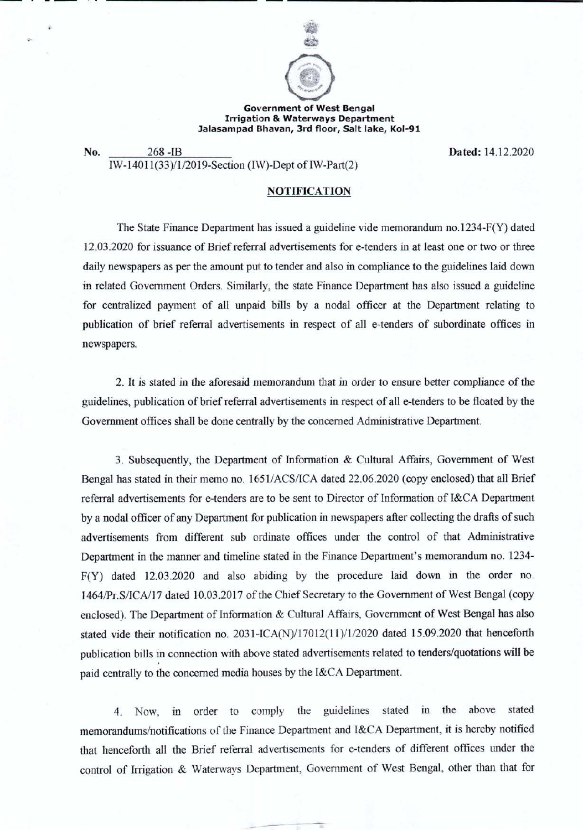

## **Government of West Bengal Irrigation & Waterways Department Jalasampad Bhavan, 3rd floor, Salt lake, Kol-91**

No. 268 -IB IW-14011(33)/1/2019-Section (IW)-Dept of IW-Part(2) **Dated:** 14.12.2020

## **NOTIFICATION**

The State Finance Department has issued a guideline vide memorandum no.1234-F(Y) dated 12.03.2020 for issuance of Brief referral advertisements for e-tenders in at least one or two or three daily newspapers as per the amount put to tender and also in compliance to the guidelines laid down in related Government Orders. Similarly, the state Finance Department has also issued a guideline for centralized payment of all unpaid bills by a nodal officer at the Department relating to publication of brief referral advertisements in respect of all e-tenders of subordinate offices in newspapers.

2. It is stated in the aforesaid memorandum that in order to ensure better compliance of the guidelines, publication of brief referral advertisements in respect of all e-tenders to be floated by the Government offices shall be done centrally by the concerned Administrative Department.

3. Subsequently, the Department of Information & Cultural Affairs, Government of West Bengal has stated in their memo no. 1651/ACS/ICA dated 22.06.2020 (copy enclosed) that all Brief referral advertisements for e-tenders are to be sent to Director of Information of I&CA Department by a nodal officer of any Department for publication in newspapers after collecting the drafts of such advertisements from different sub ordinate offices under the control of that Administrative Department in the manner and timeline stated in the Finance Department's memorandum no. 1234- F(Y) dated 12.03.2020 and also abiding by the procedure laid down in the order no. 1464/Pr.SIICAI17 dated 10.03.2017 of the Chief Secretary to the Government of West Bengal (copy enclosed). The Department of Information & Cultural Affairs, Government of West Bengal has also stated vide their notification no. 2031-ICA(N)/17012(11)/1/2020 dated 15.09.2020 that henceforth publication bills in connection with above stated advertisements related to tenders/quotations will be paid centrally to the concerned media houses by the I&CA Department

4. Now, in order to comply the guidelines stated in the above stated memorandums/notifications of the Finance Department and I&CA Department, it is hereby notified that henceforth all the Brief referral advertisements for e-tenders of different offices under the control of Irrigation & Waterways Department, Government of West Bengal, other than that for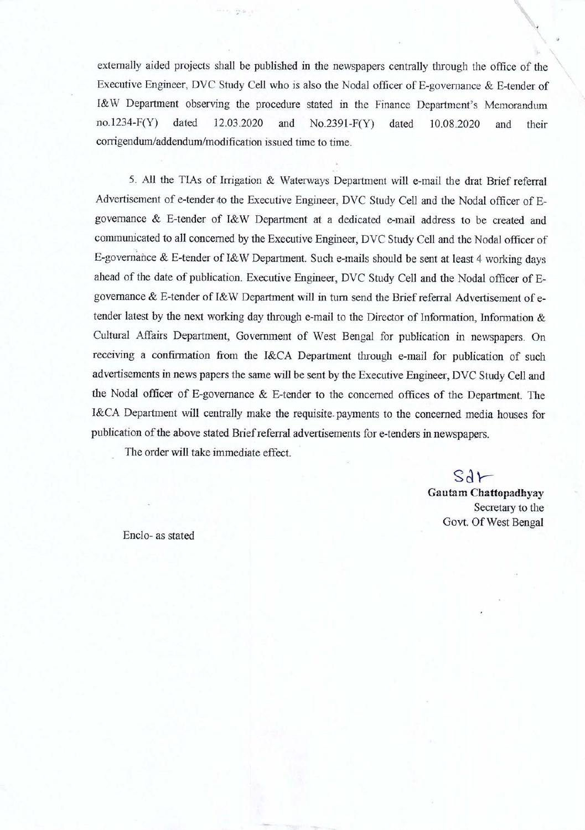externally aided projects shall be published in the newspapers centrally through the office of the \\ Executive Engineer, DVC Study Cell who is also the Nodal officer of E-govemance & E-tender of 1&W Department observing the procedure stated in the Finance Department's Memorandum no.l234-F(Y) dated 12.03.2020 and No.2391-F(Y) dated 10.08.2020 and their corrigendum/addendum/modification issued time to time.

Her year

5. All the TlAs of Irrigation & Waterways Department will e-mail the drat Brief referral Advertisement of e-tender to the Executive Engineer, DVC Study Cell and the Nodal officer of Egovernance & E-tender of 1&W Department at a dedicated e-mail address to be created and communicated to all concerned by the Executive Engineer, DVC Study Cell and the Nodal officer of E-governance & E-tender of I&W Department. Such e-mails should be sent at least 4 working days ahead of the date of publication. Executive Engineer, DVC Study Cell and the Nodal officer of Egovernance & E-tender of 1&W Department will in tum send the Brief referral Advertisement of etender latest by the next working day through e-mail to the Director of Information, Information & Cultural Affairs Department, Government of West Bengal for publication in newspapers. On receiving a confirmation from the I&CA Department through e-mail for publication of such advertisements in news papers the same will be sent by the Executive Engineer, DVC Study Cell and the Nodal officer of E-govemance & E-tender to the concerned offices of the Department. The I&CA Department will centrally make the requisite. payments to the concerned media houses for publication of the above stated Brief referral advertisements for e-tenders in newspapers.

The order will take immediate effect.

Sdr-Gautam Chattopadhyay Secretary to the Govt. Of West Bengal

•  $\ddot{\phantom{0}}$  $^{\circ}$ 

Enclo- as stated